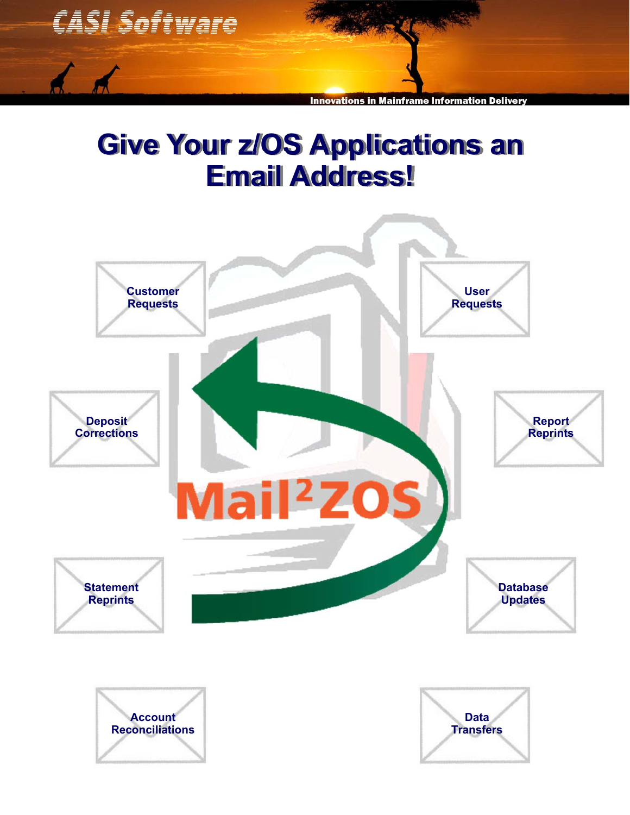

# **Give Your z/OS Applications an Email Address!**





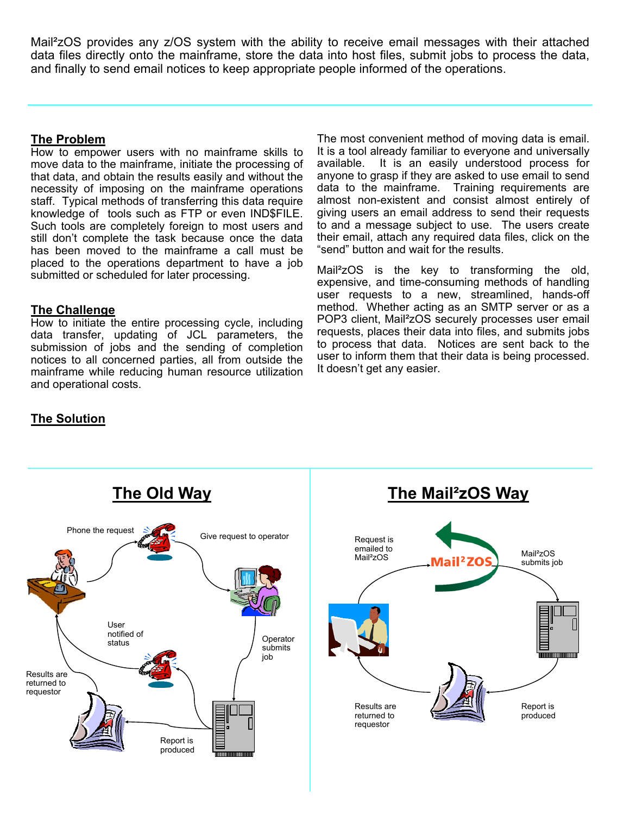Mail²zOS provides any z/OS system with the ability to receive email messages with their attached data files directly onto the mainframe, store the data into host files, submit jobs to process the data, and finally to send email notices to keep appropriate people informed of the operations.

# **The Problem**

How to empower users with no mainframe skills to move data to the mainframe, initiate the processing of that data, and obtain the results easily and without the necessity of imposing on the mainframe operations staff. Typical methods of transferring this data require knowledge of tools such as FTP or even IND\$FILE. Such tools are completely foreign to most users and still don't complete the task because once the data has been moved to the mainframe a call must be placed to the operations department to have a job submitted or scheduled for later processing.

### **The Challenge**

How to initiate the entire processing cycle, including data transfer, updating of JCL parameters, the submission of jobs and the sending of completion notices to all concerned parties, all from outside the mainframe while reducing human resource utilization and operational costs.

The most convenient method of moving data is email. It is a tool already familiar to everyone and universally available. It is an easily understood process for anyone to grasp if they are asked to use email to send data to the mainframe. Training requirements are almost non-existent and consist almost entirely of giving users an email address to send their requests to and a message subject to use. The users create their email, attach any required data files, click on the "send" button and wait for the results.

Mail²zOS is the key to transforming the old, expensive, and time-consuming methods of handling user requests to a new, streamlined, hands-off method. Whether acting as an SMTP server or as a POP3 client, Mail²zOS securely processes user email requests, places their data into files, and submits jobs to process that data. Notices are sent back to the user to inform them that their data is being processed. It doesn't get any easier.

# **The Solution**

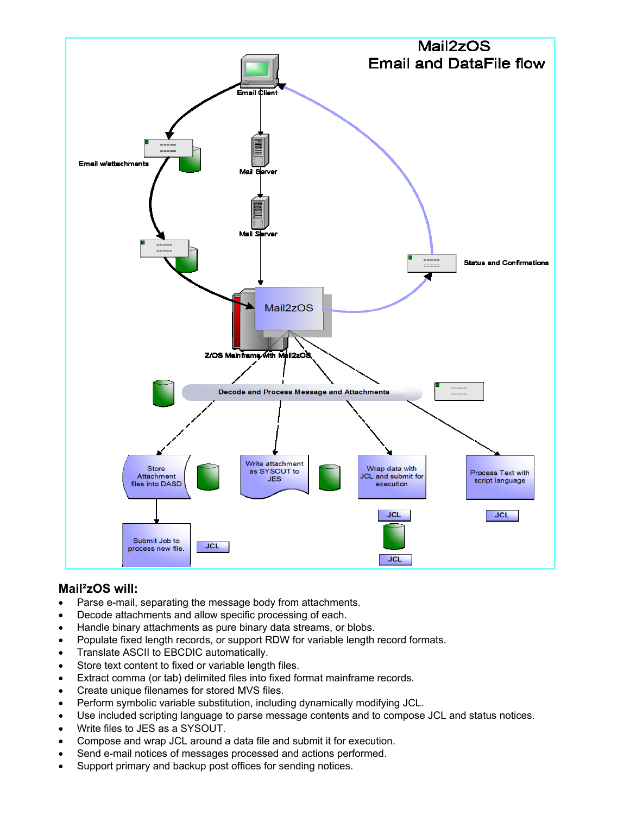

# **Mail²zOS will:**

- Parse e-mail, separating the message body from attachments.
- Decode attachments and allow specific processing of each.
- Handle binary attachments as pure binary data streams, or blobs.
- Populate fixed length records, or support RDW for variable length record formats.
- Translate ASCII to EBCDIC automatically.
- Store text content to fixed or variable length files.
- Extract comma (or tab) delimited files into fixed format mainframe records.
- Create unique filenames for stored MVS files.
- Perform symbolic variable substitution, including dynamically modifying JCL.
- Use included scripting language to parse message contents and to compose JCL and status notices.
- Write files to JES as a SYSOUT.
- Compose and wrap JCL around a data file and submit it for execution.
- Send e-mail notices of messages processed and actions performed.
- Support primary and backup post offices for sending notices.